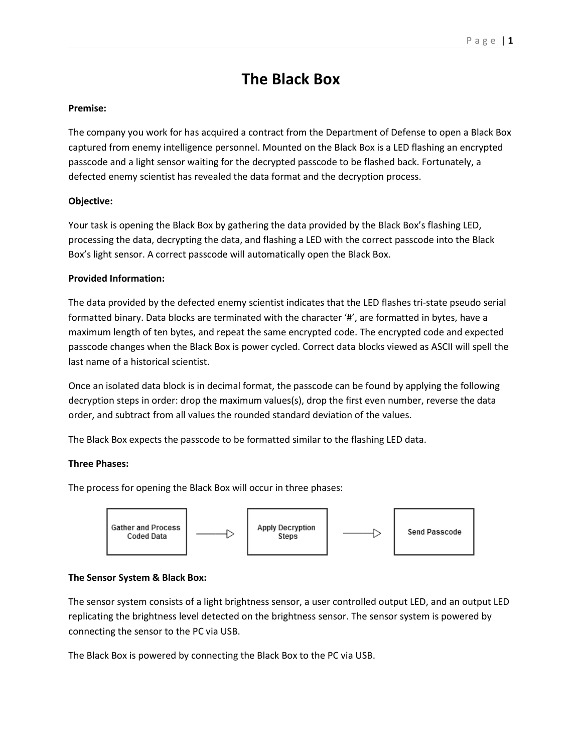# **The Black Box**

### **Premise:**

The company you work for has acquired a contract from the Department of Defense to open a Black Box captured from enemy intelligence personnel. Mounted on the Black Box is a LED flashing an encrypted passcode and a light sensor waiting for the decrypted passcode to be flashed back. Fortunately, a defected enemy scientist has revealed the data format and the decryption process.

## **Objective:**

Your task is opening the Black Box by gathering the data provided by the Black Box's flashing LED, processing the data, decrypting the data, and flashing a LED with the correct passcode into the Black Box's light sensor. A correct passcode will automatically open the Black Box.

#### **Provided Information:**

The data provided by the defected enemy scientist indicates that the LED flashes tri-state pseudo serial formatted binary. Data blocks are terminated with the character '#', are formatted in bytes, have a maximum length of ten bytes, and repeat the same encrypted code. The encrypted code and expected passcode changes when the Black Box is power cycled. Correct data blocks viewed as ASCII will spell the last name of a historical scientist.

Once an isolated data block is in decimal format, the passcode can be found by applying the following decryption steps in order: drop the maximum values(s), drop the first even number, reverse the data order, and subtract from all values the rounded standard deviation of the values.

The Black Box expects the passcode to be formatted similar to the flashing LED data.

#### **Three Phases:**

The process for opening the Black Box will occur in three phases:



## **The Sensor System & Black Box:**

The sensor system consists of a light brightness sensor, a user controlled output LED, and an output LED replicating the brightness level detected on the brightness sensor. The sensor system is powered by connecting the sensor to the PC via USB.

The Black Box is powered by connecting the Black Box to the PC via USB.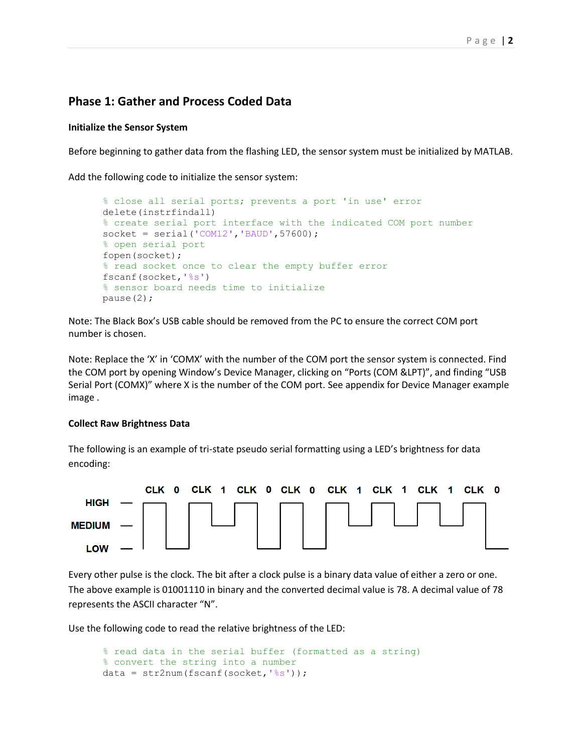# **Phase 1: Gather and Process Coded Data**

#### **Initialize the Sensor System**

Before beginning to gather data from the flashing LED, the sensor system must be initialized by MATLAB.

Add the following code to initialize the sensor system:

```
% close all serial ports; prevents a port 'in use' error
delete(instrfindall)
% create serial port interface with the indicated COM port number
socket = serial('COM12', 'BAUD', 57600);% open serial port
fopen(socket);
% read socket once to clear the empty buffer error
fscanf(socket,'%s')
% sensor board needs time to initialize
pause(2);
```
Note: The Black Box's USB cable should be removed from the PC to ensure the correct COM port number is chosen.

Note: Replace the 'X' in 'COMX' with the number of the COM port the sensor system is connected. Find the COM port by opening Window's Device Manager, clicking on "Ports (COM &LPT)", and finding "USB Serial Port (COMX)" where X is the number of the COM port. See appendix for Device Manager example image .

#### **Collect Raw Brightness Data**

The following is an example of tri-state pseudo serial formatting using a LED's brightness for data encoding:



Every other pulse is the clock. The bit after a clock pulse is a binary data value of either a zero or one. The above example is 01001110 in binary and the converted decimal value is 78. A decimal value of 78 represents the ASCII character "N".

Use the following code to read the relative brightness of the LED:

```
% read data in the serial buffer (formatted as a string)
% convert the string into a number
data = str2num(fscanf(socket,'%s'));
```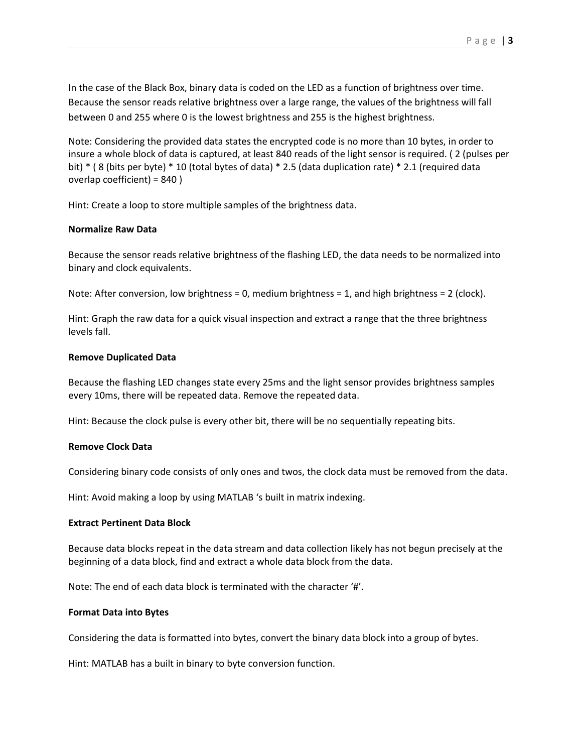In the case of the Black Box, binary data is coded on the LED as a function of brightness over time. Because the sensor reads relative brightness over a large range, the values of the brightness will fall between 0 and 255 where 0 is the lowest brightness and 255 is the highest brightness.

Note: Considering the provided data states the encrypted code is no more than 10 bytes, in order to insure a whole block of data is captured, at least 840 reads of the light sensor is required. ( 2 (pulses per bit) \* ( 8 (bits per byte) \* 10 (total bytes of data) \* 2.5 (data duplication rate) \* 2.1 (required data overlap coefficient) = 840 )

Hint: Create a loop to store multiple samples of the brightness data.

#### **Normalize Raw Data**

Because the sensor reads relative brightness of the flashing LED, the data needs to be normalized into binary and clock equivalents.

Note: After conversion, low brightness = 0, medium brightness = 1, and high brightness = 2 (clock).

Hint: Graph the raw data for a quick visual inspection and extract a range that the three brightness levels fall.

#### **Remove Duplicated Data**

Because the flashing LED changes state every 25ms and the light sensor provides brightness samples every 10ms, there will be repeated data. Remove the repeated data.

Hint: Because the clock pulse is every other bit, there will be no sequentially repeating bits.

## **Remove Clock Data**

Considering binary code consists of only ones and twos, the clock data must be removed from the data.

Hint: Avoid making a loop by using MATLAB 's built in matrix indexing.

#### **Extract Pertinent Data Block**

Because data blocks repeat in the data stream and data collection likely has not begun precisely at the beginning of a data block, find and extract a whole data block from the data.

Note: The end of each data block is terminated with the character '#'.

#### **Format Data into Bytes**

Considering the data is formatted into bytes, convert the binary data block into a group of bytes.

Hint: MATLAB has a built in binary to byte conversion function.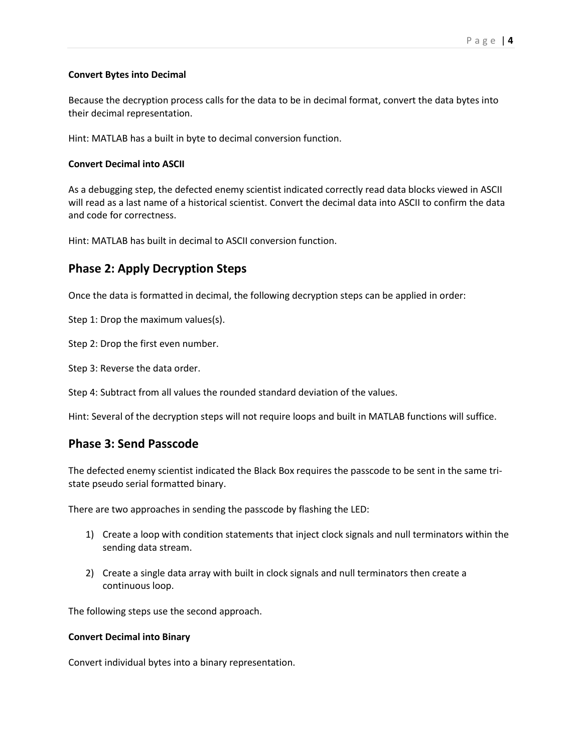#### **Convert Bytes into Decimal**

Because the decryption process calls for the data to be in decimal format, convert the data bytes into their decimal representation.

Hint: MATLAB has a built in byte to decimal conversion function.

#### **Convert Decimal into ASCII**

As a debugging step, the defected enemy scientist indicated correctly read data blocks viewed in ASCII will read as a last name of a historical scientist. Convert the decimal data into ASCII to confirm the data and code for correctness.

Hint: MATLAB has built in decimal to ASCII conversion function.

# **Phase 2: Apply Decryption Steps**

Once the data is formatted in decimal, the following decryption steps can be applied in order:

Step 1: Drop the maximum values(s).

Step 2: Drop the first even number.

Step 3: Reverse the data order.

Step 4: Subtract from all values the rounded standard deviation of the values.

Hint: Several of the decryption steps will not require loops and built in MATLAB functions will suffice.

# **Phase 3: Send Passcode**

The defected enemy scientist indicated the Black Box requires the passcode to be sent in the same tristate pseudo serial formatted binary.

There are two approaches in sending the passcode by flashing the LED:

- 1) Create a loop with condition statements that inject clock signals and null terminators within the sending data stream.
- 2) Create a single data array with built in clock signals and null terminators then create a continuous loop.

The following steps use the second approach.

#### **Convert Decimal into Binary**

Convert individual bytes into a binary representation.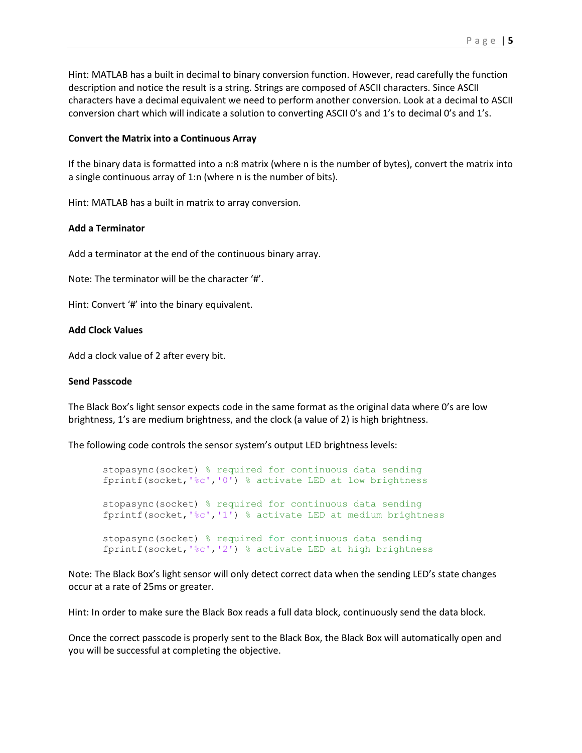Hint: MATLAB has a built in decimal to binary conversion function. However, read carefully the function description and notice the result is a string. Strings are composed of ASCII characters. Since ASCII characters have a decimal equivalent we need to perform another conversion. Look at a decimal to ASCII conversion chart which will indicate a solution to converting ASCII 0's and 1's to decimal 0's and 1's.

#### **Convert the Matrix into a Continuous Array**

If the binary data is formatted into a n:8 matrix (where n is the number of bytes), convert the matrix into a single continuous array of 1:n (where n is the number of bits).

Hint: MATLAB has a built in matrix to array conversion.

#### **Add a Terminator**

Add a terminator at the end of the continuous binary array.

Note: The terminator will be the character '#'.

Hint: Convert '#' into the binary equivalent.

### **Add Clock Values**

Add a clock value of 2 after every bit.

#### **Send Passcode**

The Black Box's light sensor expects code in the same format as the original data where 0's are low brightness, 1's are medium brightness, and the clock (a value of 2) is high brightness.

The following code controls the sensor system's output LED brightness levels:

stopasync(socket) % required for continuous data sending fprintf(socket,'%c','0') % activate LED at low brightness stopasync(socket) % required for continuous data sending fprintf(socket,'%c','1') % activate LED at medium brightness stopasync(socket) % required for continuous data sending fprintf(socket,'%c','2') % activate LED at high brightness

Note: The Black Box's light sensor will only detect correct data when the sending LED's state changes occur at a rate of 25ms or greater.

Hint: In order to make sure the Black Box reads a full data block, continuously send the data block.

Once the correct passcode is properly sent to the Black Box, the Black Box will automatically open and you will be successful at completing the objective.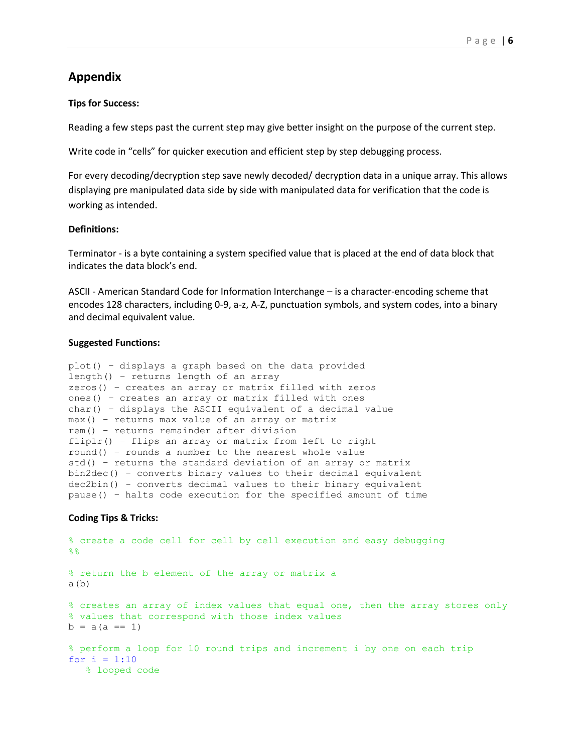# **Appendix**

#### **Tips for Success:**

Reading a few steps past the current step may give better insight on the purpose of the current step.

Write code in "cells" for quicker execution and efficient step by step debugging process.

For every decoding/decryption step save newly decoded/ decryption data in a unique array. This allows displaying pre manipulated data side by side with manipulated data for verification that the code is working as intended.

#### **Definitions:**

Terminator - is a byte containing a system specified value that is placed at the end of data block that indicates the data block's end.

ASCII - American Standard Code for Information Interchange – is a character-encoding scheme that encodes 128 characters, including 0-9, a-z, A-Z, punctuation symbols, and system codes, into a binary and decimal equivalent value.

#### **Suggested Functions:**

```
plot() – displays a graph based on the data provided
length() – returns length of an array
zeros() – creates an array or matrix filled with zeros
ones() – creates an array or matrix filled with ones
char() – displays the ASCII equivalent of a decimal value
max() – returns max value of an array or matrix
rem() – returns remainder after division
fliplr() – flips an array or matrix from left to right
round() – rounds a number to the nearest whole value
std() – returns the standard deviation of an array or matrix 
bin2dec() – converts binary values to their decimal equivalent
dec2bin() - converts decimal values to their binary equivalent
pause() – halts code execution for the specified amount of time
```
#### **Coding Tips & Tricks:**

```
% create a code cell for cell by cell execution and easy debugging
%% return the b element of the array or matrix a
a(b)% creates an array of index values that equal one, then the array stores only 
% values that correspond with those index values
b = a(a == 1)% perform a loop for 10 round trips and increment i by one on each trip
for i = 1:10 % looped code
```